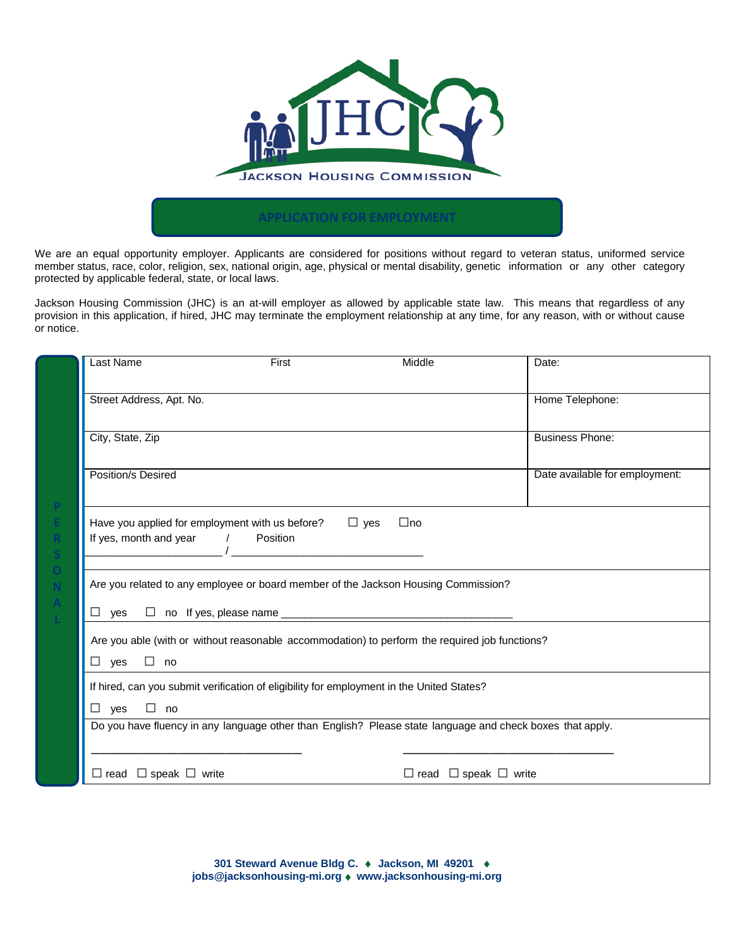

We are an equal opportunity employer. Applicants are considered for positions without regard to veteran status, uniformed service member status, race, color, religion, sex, national origin, age, physical or mental disability, genetic information or any other category protected by applicable federal, state, or local laws.

Jackson Housing Commission (JHC) is an at-will employer as allowed by applicable state law. This means that regardless of any provision in this application, if hired, JHC may terminate the employment relationship at any time, for any reason, with or without cause or notice.

| Last Name                                                                                                                                                                              | First | Middle                                | Date:                          |  |  |
|----------------------------------------------------------------------------------------------------------------------------------------------------------------------------------------|-------|---------------------------------------|--------------------------------|--|--|
| Street Address, Apt. No.                                                                                                                                                               |       |                                       | Home Telephone:                |  |  |
| City, State, Zip                                                                                                                                                                       |       |                                       | <b>Business Phone:</b>         |  |  |
| Position/s Desired                                                                                                                                                                     |       |                                       | Date available for employment: |  |  |
| $\Box$ yes<br>Have you applied for employment with us before?<br>$\Box$ no<br>If yes, month and year<br>Position<br>$\sqrt{2}$<br><u> 1980 - Jan Barbara Barbara, manazarta da kas</u> |       |                                       |                                |  |  |
| Are you related to any employee or board member of the Jackson Housing Commission?                                                                                                     |       |                                       |                                |  |  |
| Are you able (with or without reasonable accommodation) to perform the required job functions?<br>$\Box$ yes<br>$\square$ no                                                           |       |                                       |                                |  |  |
| If hired, can you submit verification of eligibility for employment in the United States?<br>$\Box$ yes<br>$\Box$ no                                                                   |       |                                       |                                |  |  |
| Do you have fluency in any language other than English? Please state language and check boxes that apply.                                                                              |       |                                       |                                |  |  |
| $\Box$ read $\Box$ speak $\Box$ write                                                                                                                                                  |       | $\Box$ read $\Box$ speak $\Box$ write |                                |  |  |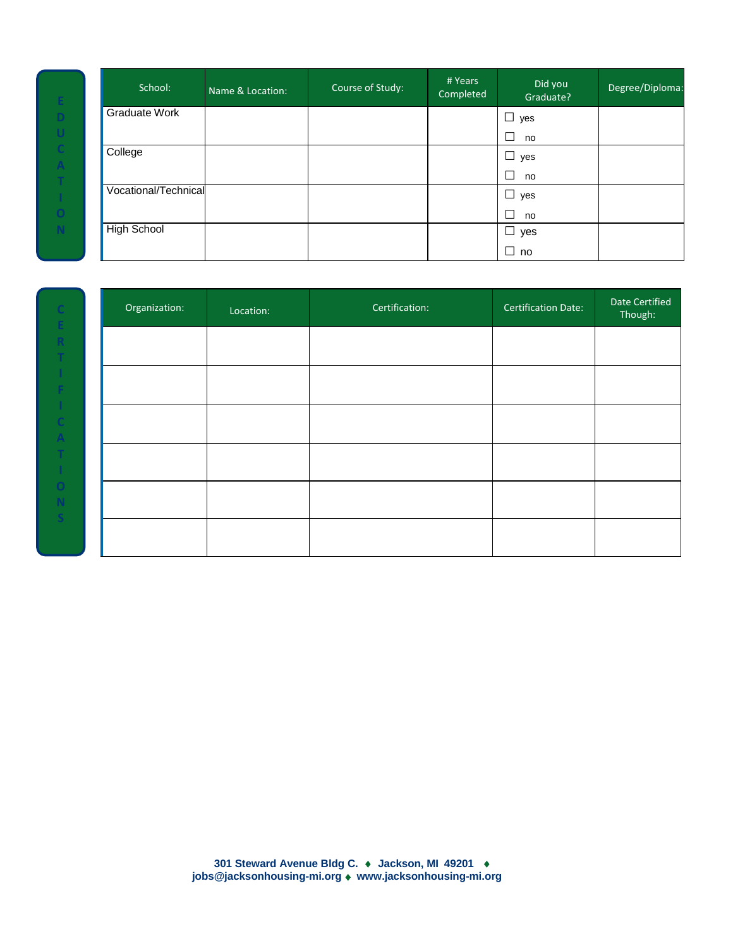| School:              | Name & Location: | Course of Study: | # Years<br>Completed | Did you<br>Graduate? | Degree/Diploma: |
|----------------------|------------------|------------------|----------------------|----------------------|-----------------|
| Graduate Work        |                  |                  |                      | $\Box$<br>yes        |                 |
|                      |                  |                  |                      | $\Box$<br>no         |                 |
| College              |                  |                  |                      | $\Box$<br>yes        |                 |
|                      |                  |                  |                      | $\Box$<br>no         |                 |
| Vocational/Technical |                  |                  |                      | $\Box$ yes           |                 |
|                      |                  |                  |                      | $\Box$<br>no         |                 |
| <b>High School</b>   |                  |                  |                      | $\Box$ yes           |                 |
|                      |                  |                  |                      | $\Box$<br>no         |                 |

**D**

**C A T**

**N**

| Organization: | Location: | Certification: | <b>Certification Date:</b> | Date Certified<br>Though: |
|---------------|-----------|----------------|----------------------------|---------------------------|
|               |           |                |                            |                           |
|               |           |                |                            |                           |
|               |           |                |                            |                           |
|               |           |                |                            |                           |
|               |           |                |                            |                           |
|               |           |                |                            |                           |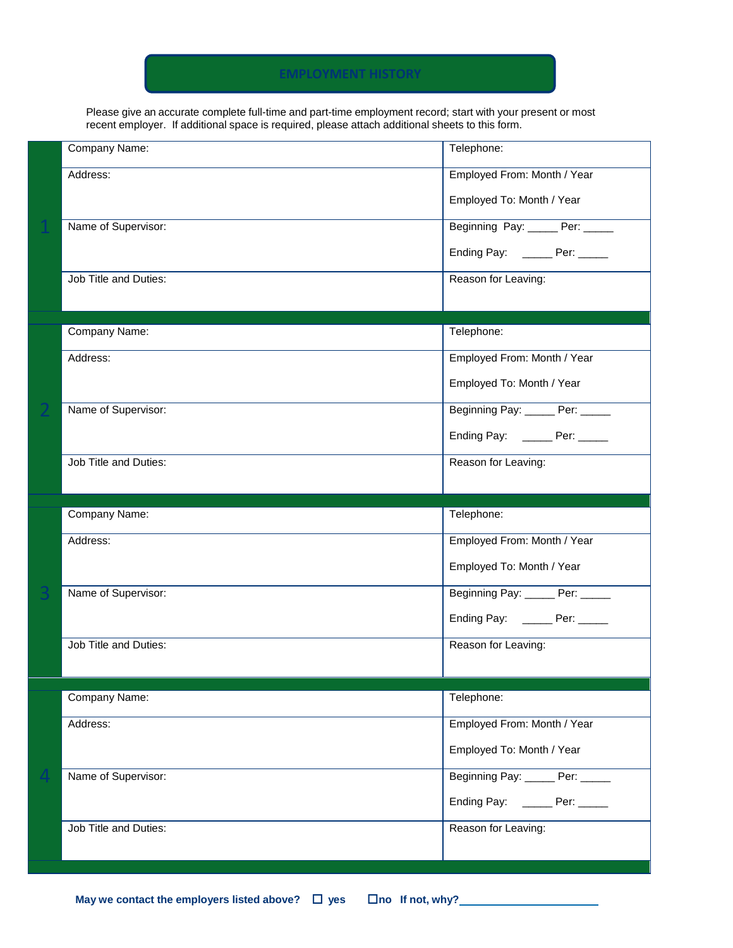### **EMPLOYMENT HISTORY**

Please give an accurate complete full-time and part-time employment record; start with your present or most recent employer. If additional space is required, please attach additional sheets to this form.

|                                                    | Company Name:         | Telephone:                       |
|----------------------------------------------------|-----------------------|----------------------------------|
|                                                    | Address:              | Employed From: Month / Year      |
|                                                    |                       | Employed To: Month / Year        |
|                                                    | Name of Supervisor:   | Beginning Pay: _____ Per:        |
|                                                    |                       | Ending Pay: ______ Per: _____    |
|                                                    | Job Title and Duties: | Reason for Leaving:              |
|                                                    |                       |                                  |
|                                                    | Company Name:         | Telephone:                       |
|                                                    | Address:              | Employed From: Month / Year      |
|                                                    |                       | Employed To: Month / Year        |
|                                                    | Name of Supervisor:   | Beginning Pay: Per:              |
|                                                    |                       | Ending Pay: _______ Per: _____   |
|                                                    | Job Title and Duties: | Reason for Leaving:              |
|                                                    |                       |                                  |
|                                                    |                       |                                  |
|                                                    | Company Name:         | Telephone:                       |
|                                                    | Address:              | Employed From: Month / Year      |
|                                                    |                       | Employed To: Month / Year        |
|                                                    | Name of Supervisor:   | Beginning Pay: ______ Per: _____ |
| Job Title and Duties:<br>Company Name:<br>Address: |                       | Ending Pay: ______ Per: _____    |
|                                                    |                       | Reason for Leaving:              |
|                                                    |                       |                                  |
|                                                    |                       | Telephone:                       |
|                                                    |                       | Employed From: Month / Year      |
|                                                    |                       | Employed To: Month / Year        |
|                                                    | Name of Supervisor:   | Beginning Pay: ______ Per: _____ |
|                                                    |                       | Ending Pay: _______ Per: _____   |
|                                                    | Job Title and Duties: | Reason for Leaving:              |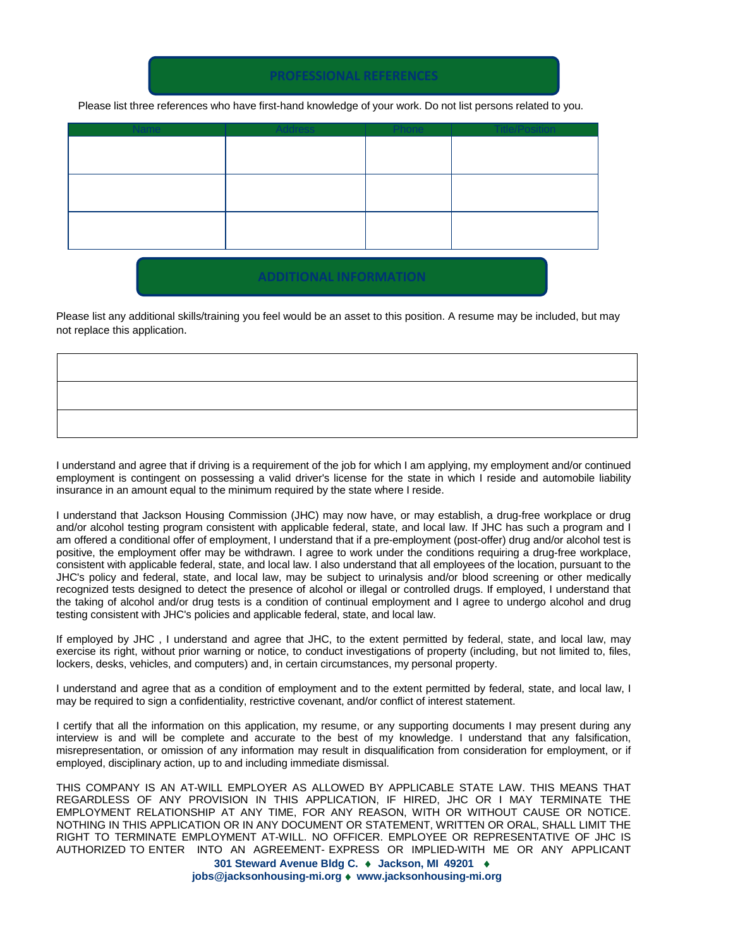Please list three references who have first-hand knowledge of your work. Do not list persons related to you.

**PROFESSIONAL REFERENCES**

| Name | <b>Address</b> | <b>Phone</b> | <b>Title/Position</b> |
|------|----------------|--------------|-----------------------|
|      |                |              |                       |
|      |                |              |                       |
|      |                |              |                       |
|      |                |              |                       |
|      |                |              |                       |
|      |                |              |                       |
|      |                |              |                       |
|      |                |              |                       |

## **ADDITIONAL INFORMATION**

Please list any additional skills/training you feel would be an asset to this position. A resume may be included, but may not replace this application.

I understand and agree that if driving is a requirement of the job for which I am applying, my employment and/or continued employment is contingent on possessing a valid driver's license for the state in which I reside and automobile liability insurance in an amount equal to the minimum required by the state where I reside.

I understand that Jackson Housing Commission (JHC) may now have, or may establish, a drug-free workplace or drug and/or alcohol testing program consistent with applicable federal, state, and local law. If JHC has such a program and I am offered a conditional offer of employment, I understand that if a pre-employment (post-offer) drug and/or alcohol test is positive, the employment offer may be withdrawn. I agree to work under the conditions requiring a drug-free workplace, consistent with applicable federal, state, and local law. I also understand that all employees of the location, pursuant to the JHC's policy and federal, state, and local law, may be subject to urinalysis and/or blood screening or other medically recognized tests designed to detect the presence of alcohol or illegal or controlled drugs. If employed, I understand that the taking of alcohol and/or drug tests is a condition of continual employment and I agree to undergo alcohol and drug testing consistent with JHC's policies and applicable federal, state, and local law.

If employed by JHC , I understand and agree that JHC, to the extent permitted by federal, state, and local law, may exercise its right, without prior warning or notice, to conduct investigations of property (including, but not limited to, files, lockers, desks, vehicles, and computers) and, in certain circumstances, my personal property.

I understand and agree that as a condition of employment and to the extent permitted by federal, state, and local law, I may be required to sign a confidentiality, restrictive covenant, and/or conflict of interest statement.

I certify that all the information on this application, my resume, or any supporting documents I may present during any interview is and will be complete and accurate to the best of my knowledge. I understand that any falsification, misrepresentation, or omission of any information may result in disqualification from consideration for employment, or if employed, disciplinary action, up to and including immediate dismissal.

**301 Steward Avenue Bldg C.** ♦ **Jackson, MI 49201** ♦ THIS COMPANY IS AN AT-WILL EMPLOYER AS ALLOWED BY APPLICABLE STATE LAW. THIS MEANS THAT REGARDLESS OF ANY PROVISION IN THIS APPLICATION, IF HIRED, JHC OR I MAY TERMINATE THE EMPLOYMENT RELATIONSHIP AT ANY TIME, FOR ANY REASON, WITH OR WITHOUT CAUSE OR NOTICE. NOTHING IN THIS APPLICATION OR IN ANY DOCUMENT OR STATEMENT, WRITTEN OR ORAL, SHALL LIMIT THE RIGHT TO TERMINATE EMPLOYMENT AT-WILL. NO OFFICER. EMPLOYEE OR REPRESENTATIVE OF JHC IS AUTHORIZED TO ENTER INTO AN AGREEMENT- EXPRESS OR IMPLIED-WITH ME OR ANY APPLICANT

 **jobs@jacksonhousing-mi.org** ♦ **www.jacksonhousing-mi.org**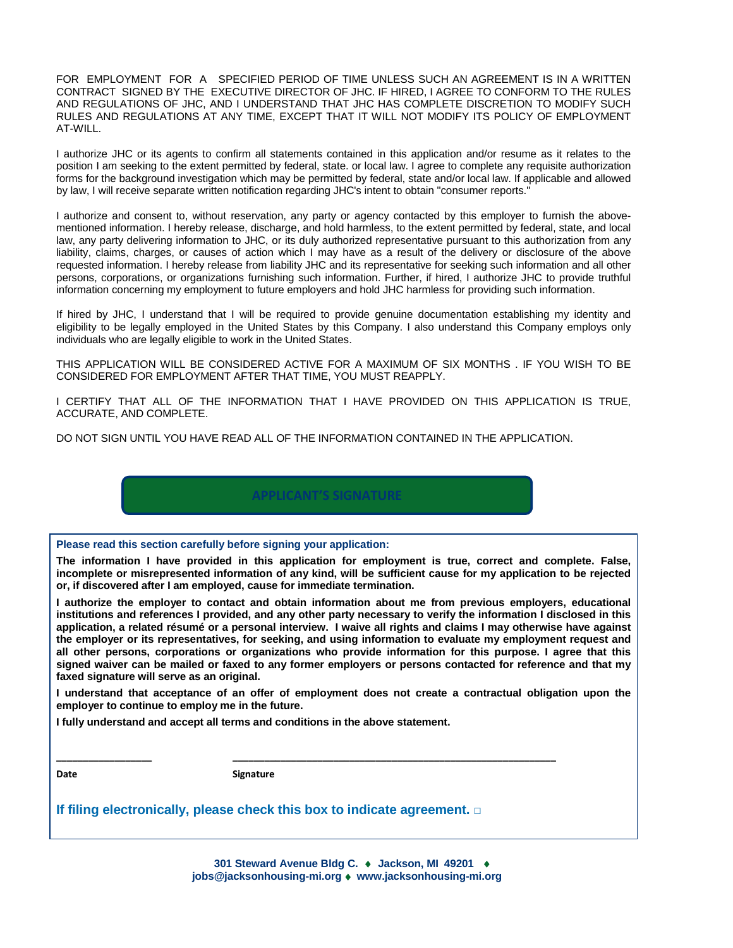FOR EMPLOYMENT FOR A SPECIFIED PERIOD OF TIME UNLESS SUCH AN AGREEMENT IS IN A WRITTEN CONTRACT SIGNED BY THE EXECUTIVE DIRECTOR OF JHC. IF HIRED, I AGREE TO CONFORM TO THE RULES AND REGULATIONS OF JHC, AND I UNDERSTAND THAT JHC HAS COMPLETE DISCRETION TO MODIFY SUCH RULES AND REGULATIONS AT ANY TIME, EXCEPT THAT IT WILL NOT MODIFY ITS POLICY OF EMPLOYMENT AT-WILL.

I authorize JHC or its agents to confirm all statements contained in this application and/or resume as it relates to the position I am seeking to the extent permitted by federal, state. or local law. I agree to complete any requisite authorization forms for the background investigation which may be permitted by federal, state and/or local law. If applicable and allowed by law, I will receive separate written notification regarding JHC's intent to obtain "consumer reports."

I authorize and consent to, without reservation, any party or agency contacted by this employer to furnish the abovementioned information. I hereby release, discharge, and hold harmless, to the extent permitted by federal, state, and local law, any party delivering information to JHC, or its duly authorized representative pursuant to this authorization from any liability, claims, charges, or causes of action which I may have as a result of the delivery or disclosure of the above requested information. I hereby release from liability JHC and its representative for seeking such information and all other persons, corporations, or organizations furnishing such information. Further, if hired, I authorize JHC to provide truthful information concerning my employment to future employers and hold JHC harmless for providing such information.

If hired by JHC, I understand that I will be required to provide genuine documentation establishing my identity and eligibility to be legally employed in the United States by this Company. I also understand this Company employs only individuals who are legally eligible to work in the United States.

THIS APPLICATION WILL BE CONSIDERED ACTIVE FOR A MAXIMUM OF SIX MONTHS . IF YOU WISH TO BE CONSIDERED FOR EMPLOYMENT AFTER THAT TIME, YOU MUST REAPPLY.

I CERTIFY THAT ALL OF THE INFORMATION THAT I HAVE PROVIDED ON THIS APPLICATION IS TRUE, ACCURATE, AND COMPLETE.

DO NOT SIGN UNTIL YOU HAVE READ ALL OF THE INFORMATION CONTAINED IN THE APPLICATION.



**Please read this section carefully before signing your application:**

**The information I have provided in this application for employment is true, correct and complete. False, incomplete or misrepresented information of any kind, will be sufficient cause for my application to be rejected or, if discovered after I am employed, cause for immediate termination.**

**I authorize the employer to contact and obtain information about me from previous employers, educational institutions and references I provided, and any other party necessary to verify the information I disclosed in this application, a related résumé or a personal interview. I waive all rights and claims I may otherwise have against the employer or its representatives, for seeking, and using information to evaluate my employment request and all other persons, corporations or organizations who provide information for this purpose. I agree that this signed waiver can be mailed or faxed to any former employers or persons contacted for reference and that my faxed signature will serve as an original.**

**I understand that acceptance of an offer of employment does not create a contractual obligation upon the employer to continue to employ me in the future.**

**I fully understand and accept all terms and conditions in the above statement.**

Date **Signature** 

**If filing electronically, please check this box to indicate agreement. □**

**\_\_\_\_\_\_\_\_\_\_\_\_\_\_\_\_\_\_ \_\_\_\_\_\_\_\_\_\_\_\_\_\_\_\_\_\_\_\_\_\_\_\_\_\_\_\_\_\_\_\_\_\_\_\_\_\_\_\_\_\_\_\_\_\_\_\_\_\_\_\_\_\_\_\_\_\_\_\_\_**

**301 Steward Avenue Bldg C.** ♦ **Jackson, MI 49201** ♦  **jobs@jacksonhousing-mi.org** ♦ **www.jacksonhousing-mi.org**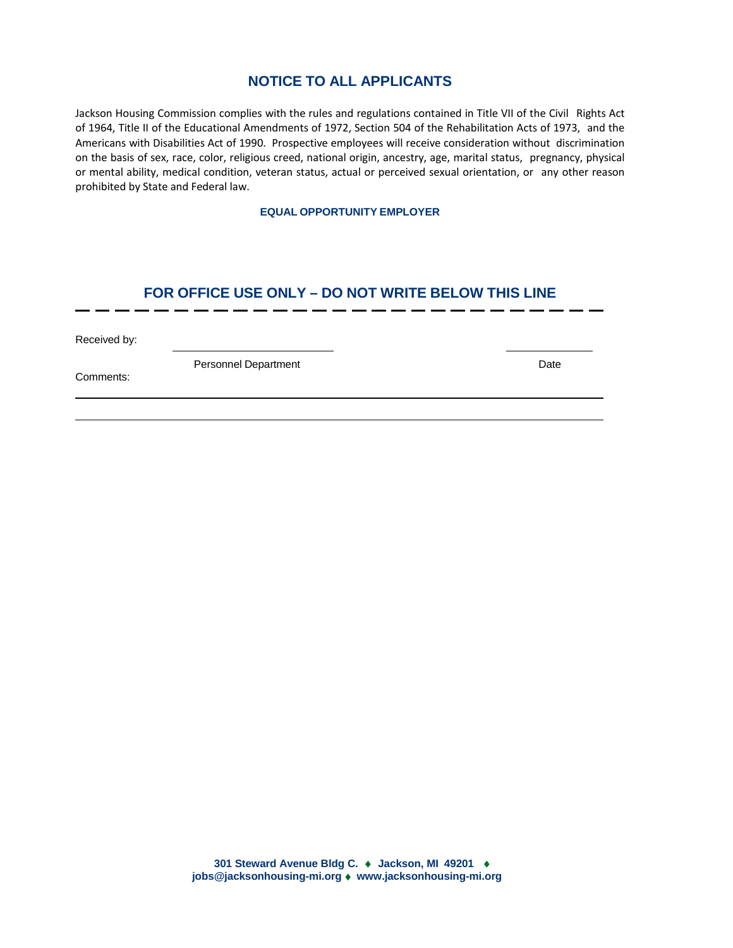# **NOTICE TO ALL APPLICANTS**

Jackson Housing Commission complies with the rules and regulations contained in Title VII of the Civil Rights Act of 1964, Title II of the Educational Amendments of 1972, Section 504 of the Rehabilitation Acts of 1973, and the Americans with Disabilities Act of 1990. Prospective employees will receive consideration without discrimination on the basis of sex, race, color, religious creed, national origin, ancestry, age, marital status, pregnancy, physical or mental ability, medical condition, veteran status, actual or perceived sexual orientation, or any other reason prohibited by State and Federal law.

#### **EQUAL OPPORTUNITY EMPLOYER**

### **FOR OFFICE USE ONLY – DO NOT WRITE BELOW THIS LINE**

Received by:

Personnel Department Date Date Date

Comments: